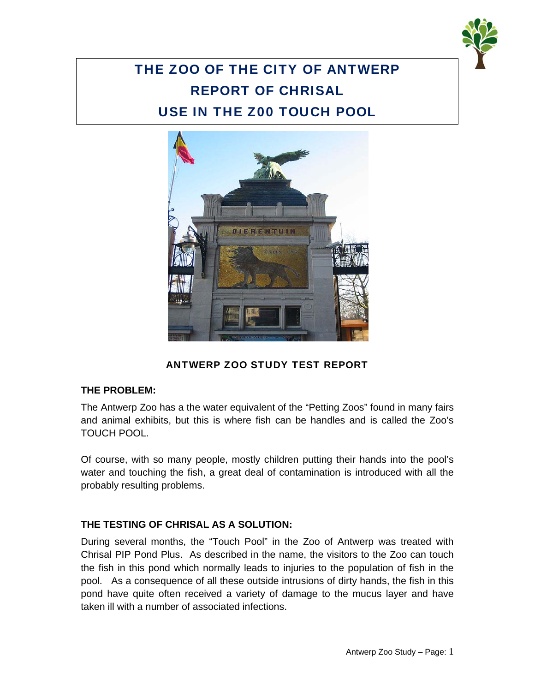

# THE ZOO OF THE CITY OF ANTWERP REPORT OF CHRISAL USE IN THE Z00 TOUCH POOL



# ANTWERP ZOO STUDY TEST REPORT

#### **THE PROBLEM:**

The Antwerp Zoo has a the water equivalent of the "Petting Zoos" found in many fairs and animal exhibits, but this is where fish can be handles and is called the Zoo's TOUCH POOL.

Of course, with so many people, mostly children putting their hands into the pool's water and touching the fish, a great deal of contamination is introduced with all the probably resulting problems.

### **THE TESTING OF CHRISAL AS A SOLUTION:**

During several months, the "Touch Pool" in the Zoo of Antwerp was treated with Chrisal PIP Pond Plus. As described in the name, the visitors to the Zoo can touch the fish in this pond which normally leads to injuries to the population of fish in the pool. As a consequence of all these outside intrusions of dirty hands, the fish in this pond have quite often received a variety of damage to the mucus layer and have taken ill with a number of associated infections.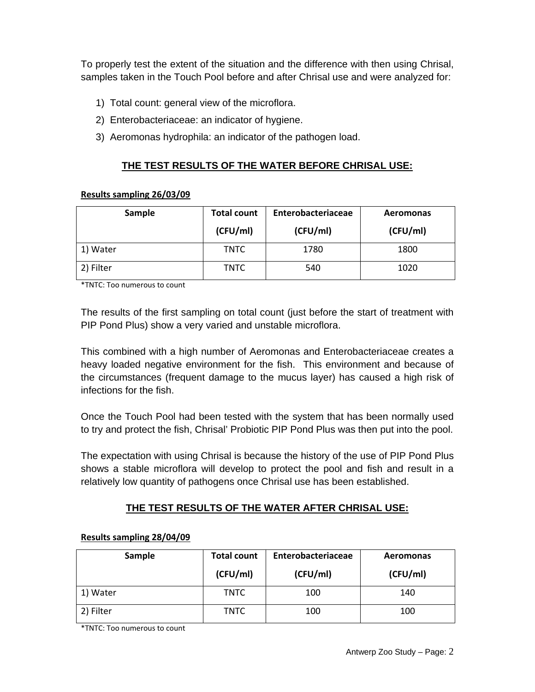To properly test the extent of the situation and the difference with then using Chrisal, samples taken in the Touch Pool before and after Chrisal use and were analyzed for:

- 1) Total count: general view of the microflora.
- 2) Enterobacteriaceae: an indicator of hygiene.
- 3) Aeromonas hydrophila: an indicator of the pathogen load.

## **THE TEST RESULTS OF THE WATER BEFORE CHRISAL USE:**

#### **Results sampling 26/03/09**

| Sample    | <b>Total count</b><br>(CFU/ml) | Enterobacteriaceae<br>(CFU/ml) | <b>Aeromonas</b><br>(CFU/ml) |
|-----------|--------------------------------|--------------------------------|------------------------------|
| 1) Water  | TNTC                           | 1780                           | 1800                         |
| 2) Filter | TNTC                           | 540                            | 1020                         |

\*TNTC: Too numerous to count

The results of the first sampling on total count (just before the start of treatment with PIP Pond Plus) show a very varied and unstable microflora.

This combined with a high number of Aeromonas and Enterobacteriaceae creates a heavy loaded negative environment for the fish. This environment and because of the circumstances (frequent damage to the mucus layer) has caused a high risk of infections for the fish.

Once the Touch Pool had been tested with the system that has been normally used to try and protect the fish, Chrisal' Probiotic PIP Pond Plus was then put into the pool.

The expectation with using Chrisal is because the history of the use of PIP Pond Plus shows a stable microflora will develop to protect the pool and fish and result in a relatively low quantity of pathogens once Chrisal use has been established.

# **THE TEST RESULTS OF THE WATER AFTER CHRISAL USE:**

| Sample    | <b>Total count</b><br>(CFU/ml) | Enterobacteriaceae<br>(CFU/ml) | Aeromonas<br>(CFU/ml) |
|-----------|--------------------------------|--------------------------------|-----------------------|
| 1) Water  | <b>TNTC</b>                    | 100                            | 140                   |
| 2) Filter | TNTC                           | 100                            | 100                   |

#### **Results sampling 28/04/09**

\*TNTC: Too numerous to count